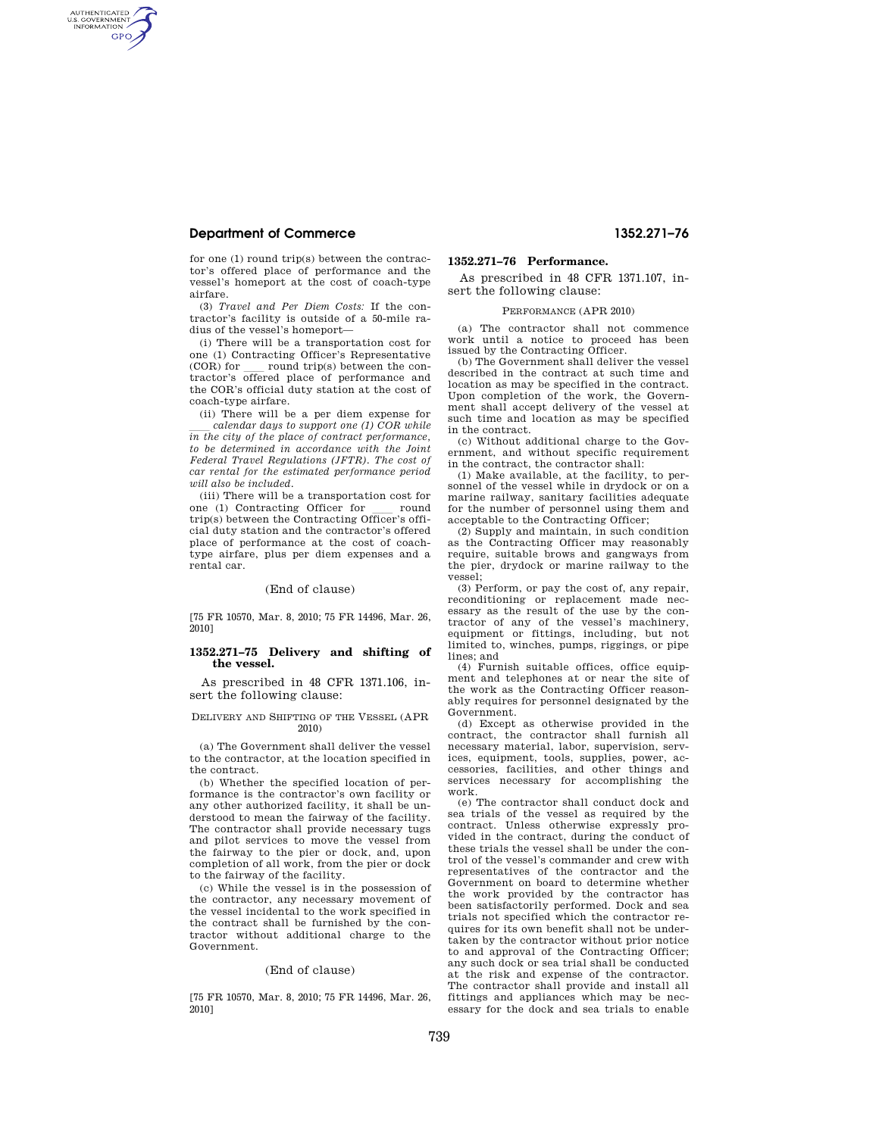# **Department of Commerce 1352.271–76**

AUTHENTICATED<br>U.S. GOVERNMENT<br>INFORMATION **GPO** 

> for one (1) round trip(s) between the contractor's offered place of performance and the vessel's homeport at the cost of coach-type airfare.

> (3) *Travel and Per Diem Costs:* If the contractor's facility is outside of a 50-mile radius of the vessel's homeport—

> (i) There will be a transportation cost for one (1) Contracting Officer's Representative  $(COR)$  for  $\_\_$  round trip(s) between the contractor's offered place of performance and the COR's official duty station at the cost of coach-type airfare.

> (ii) There will be a per diem expense for calendar days to support one (1) COR while *in the city of the place of contract performance, to be determined in accordance with the Joint Federal Travel Regulations (JFTR). The cost of car rental for the estimated performance period will also be included.*

> (iii) There will be a transportation cost for<br>one (1) Contracting Officer for round one (1) Contracting Officer for wound<br>trip(s) between the Contracting Officer's official duty station and the contractor's offered place of performance at the cost of coachtype airfare, plus per diem expenses and a rental car.

# (End of clause)

[75 FR 10570, Mar. 8, 2010; 75 FR 14496, Mar. 26, 2010]

# **1352.271–75 Delivery and shifting of the vessel.**

As prescribed in 48 CFR 1371.106, insert the following clause:

### DELIVERY AND SHIFTING OF THE VESSEL (APR 2010)

(a) The Government shall deliver the vessel to the contractor, at the location specified in the contract.

(b) Whether the specified location of performance is the contractor's own facility or any other authorized facility, it shall be understood to mean the fairway of the facility. The contractor shall provide necessary tugs and pilot services to move the vessel from the fairway to the pier or dock, and, upon completion of all work, from the pier or dock to the fairway of the facility.

(c) While the vessel is in the possession of the contractor, any necessary movement of the vessel incidental to the work specified in the contract shall be furnished by the contractor without additional charge to the Government.

# (End of clause)

[75 FR 10570, Mar. 8, 2010; 75 FR 14496, Mar. 26, 2010]

# **1352.271–76 Performance.**

As prescribed in 48 CFR 1371.107, insert the following clause:

#### PERFORMANCE (APR 2010)

(a) The contractor shall not commence work until a notice to proceed has been issued by the Contracting Officer.

(b) The Government shall deliver the vessel described in the contract at such time and location as may be specified in the contract. Upon completion of the work, the Government shall accept delivery of the vessel at such time and location as may be specified in the contract.

(c) Without additional charge to the Government, and without specific requirement in the contract, the contractor shall:

(1) Make available, at the facility, to personnel of the vessel while in drydock or on a marine railway, sanitary facilities adequate for the number of personnel using them and acceptable to the Contracting Officer;

(2) Supply and maintain, in such condition as the Contracting Officer may reasonably require, suitable brows and gangways from the pier, drydock or marine railway to the vessel;

(3) Perform, or pay the cost of, any repair, reconditioning or replacement made necessary as the result of the use by the contractor of any of the vessel's machinery, equipment or fittings, including, but not limited to, winches, pumps, riggings, or pipe lines; and

(4) Furnish suitable offices, office equipment and telephones at or near the site of the work as the Contracting Officer reasonably requires for personnel designated by the Government.

(d) Except as otherwise provided in the contract, the contractor shall furnish all necessary material, labor, supervision, services, equipment, tools, supplies, power, accessories, facilities, and other things and services necessary for accomplishing the work.

(e) The contractor shall conduct dock and sea trials of the vessel as required by the contract. Unless otherwise expressly provided in the contract, during the conduct of these trials the vessel shall be under the control of the vessel's commander and crew with representatives of the contractor and the Government on board to determine whether the work provided by the contractor has been satisfactorily performed. Dock and sea trials not specified which the contractor requires for its own benefit shall not be undertaken by the contractor without prior notice to and approval of the Contracting Officer; any such dock or sea trial shall be conducted at the risk and expense of the contractor. The contractor shall provide and install all fittings and appliances which may be necessary for the dock and sea trials to enable